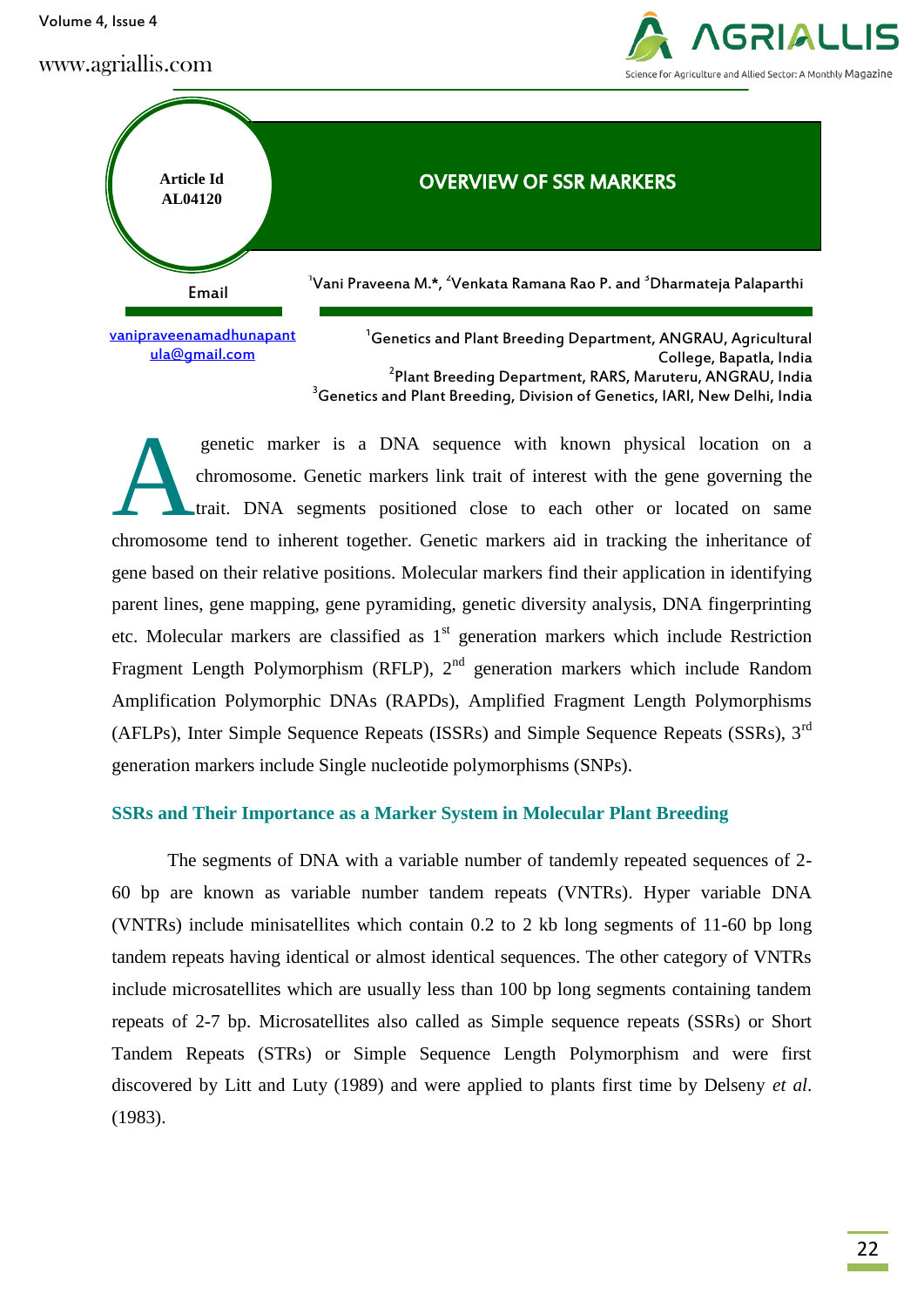Volume 4, Issue 4

www.agriallis.com





College, Bapatla, India 2 Plant Breeding Department, RARS, Maruteru, ANGRAU, India <sup>3</sup> Genetics and Plant Breeding, Division of Genetics, IARI, New Delhi, India

genetic marker is a DNA sequence with known physical location on a chromosome. Genetic markers link trait of interest with the gene governing the trait. DNA segments positioned close to each other or located on same chromosome tend to inherent together. Genetic markers aid in tracking the inheritance of gene based on their relative positions. Molecular markers find their application in identifying parent lines, gene mapping, gene pyramiding, genetic diversity analysis, DNA fingerprinting etc. Molecular markers are classified as  $1<sup>st</sup>$  generation markers which include Restriction Fragment Length Polymorphism (RFLP),  $2<sup>nd</sup>$  generation markers which include Random Amplification Polymorphic DNAs (RAPDs), Amplified Fragment Length Polymorphisms (AFLPs), Inter Simple Sequence Repeats (ISSRs) and Simple Sequence Repeats (SSRs), 3rd generation markers include Single nucleotide polymorphisms (SNPs). A

### **SSRs and Their Importance as a Marker System in Molecular Plant Breeding**

The segments of DNA with a variable number of tandemly repeated sequences of 2- 60 bp are known as variable number tandem repeats (VNTRs). Hyper variable DNA (VNTRs) include minisatellites which contain 0.2 to 2 kb long segments of 11-60 bp long tandem repeats having identical or almost identical sequences. The other category of VNTRs include microsatellites which are usually less than 100 bp long segments containing tandem repeats of 2-7 bp. Microsatellites also called as Simple sequence repeats (SSRs) or Short Tandem Repeats (STRs) or Simple Sequence Length Polymorphism and were first discovered by Litt and Luty (1989) and were applied to plants first time by Delseny *et al*. (1983).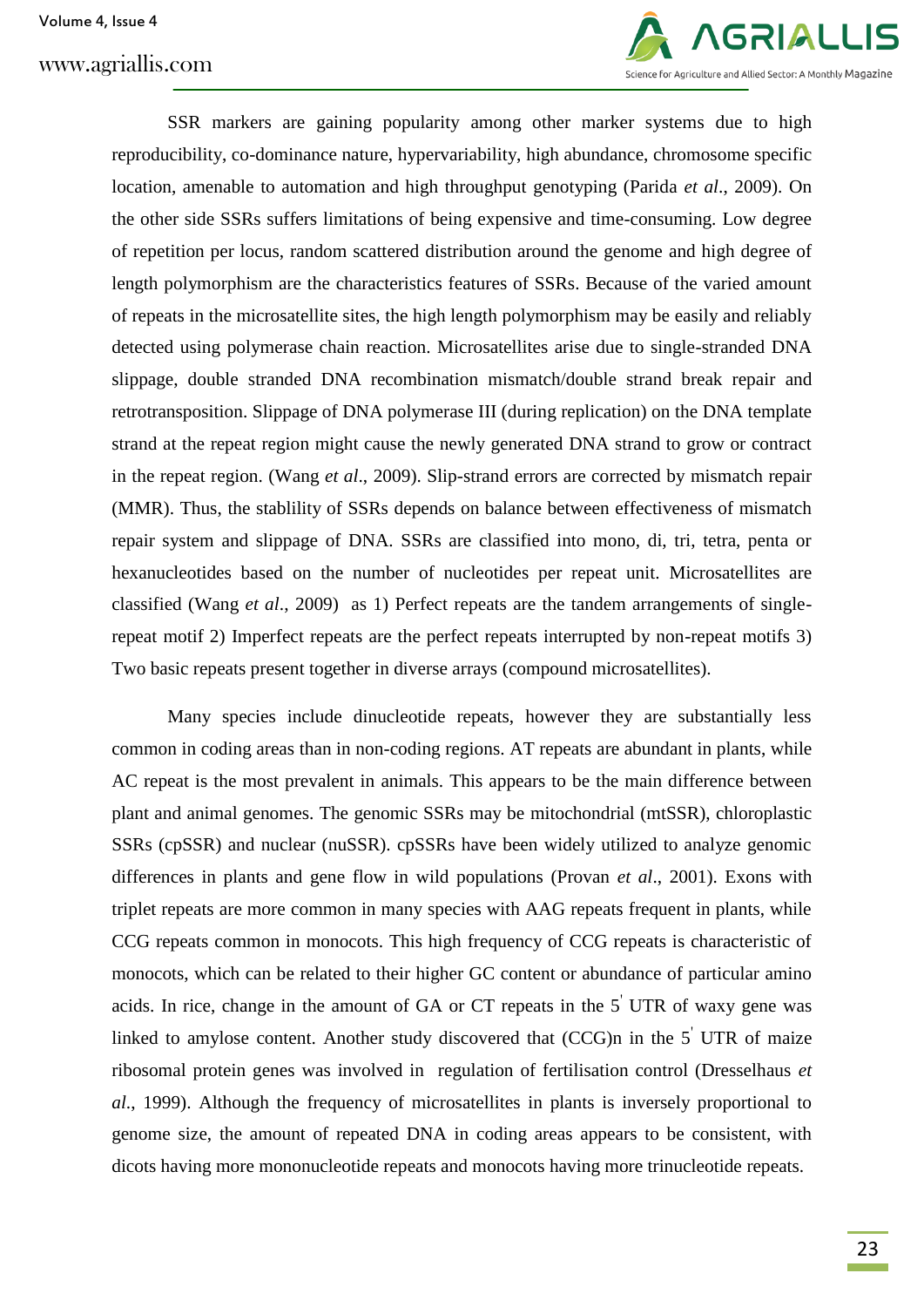## www.agriallis.com



SSR markers are gaining popularity among other marker systems due to high reproducibility, co-dominance nature, hypervariability, high abundance, chromosome specific location, amenable to automation and high throughput genotyping (Parida *et al*., 2009). On the other side SSRs suffers limitations of being expensive and time-consuming. Low degree of repetition per locus, random scattered distribution around the genome and high degree of length polymorphism are the characteristics features of SSRs. Because of the varied amount of repeats in the microsatellite sites, the high length polymorphism may be easily and reliably detected using polymerase chain reaction. Microsatellites arise due to single-stranded DNA slippage, double stranded DNA recombination mismatch/double strand break repair and retrotransposition. Slippage of DNA polymerase III (during replication) on the DNA template strand at the repeat region might cause the newly generated DNA strand to grow or contract in the repeat region. (Wang *et al*., 2009). Slip-strand errors are corrected by mismatch repair (MMR). Thus, the stablility of SSRs depends on balance between effectiveness of mismatch repair system and slippage of DNA. SSRs are classified into mono, di, tri, tetra, penta or hexanucleotides based on the number of nucleotides per repeat unit. Microsatellites are classified (Wang *et al*., 2009) as 1) Perfect repeats are the tandem arrangements of singlerepeat motif 2) Imperfect repeats are the perfect repeats interrupted by non-repeat motifs 3) Two basic repeats present together in diverse arrays (compound microsatellites).

Many species include dinucleotide repeats, however they are substantially less common in coding areas than in non-coding regions. AT repeats are abundant in plants, while AC repeat is the most prevalent in animals. This appears to be the main difference between plant and animal genomes. The genomic SSRs may be mitochondrial (mtSSR), chloroplastic SSRs (cpSSR) and nuclear (nuSSR). cpSSRs have been widely utilized to analyze genomic differences in plants and gene flow in wild populations (Provan *et al*., 2001). Exons with triplet repeats are more common in many species with AAG repeats frequent in plants, while CCG repeats common in monocots. This high frequency of CCG repeats is characteristic of monocots, which can be related to their higher GC content or abundance of particular amino acids. In rice, change in the amount of GA or CT repeats in the  $5'$  UTR of waxy gene was linked to amylose content. Another study discovered that  $(CCG)$ n in the 5<sup> $\prime$ </sup> UTR of maize ribosomal protein genes was involved in regulation of fertilisation control (Dresselhaus *et al*., 1999). Although the frequency of microsatellites in plants is inversely proportional to genome size, the amount of repeated DNA in coding areas appears to be consistent, with dicots having more mononucleotide repeats and monocots having more trinucleotide repeats.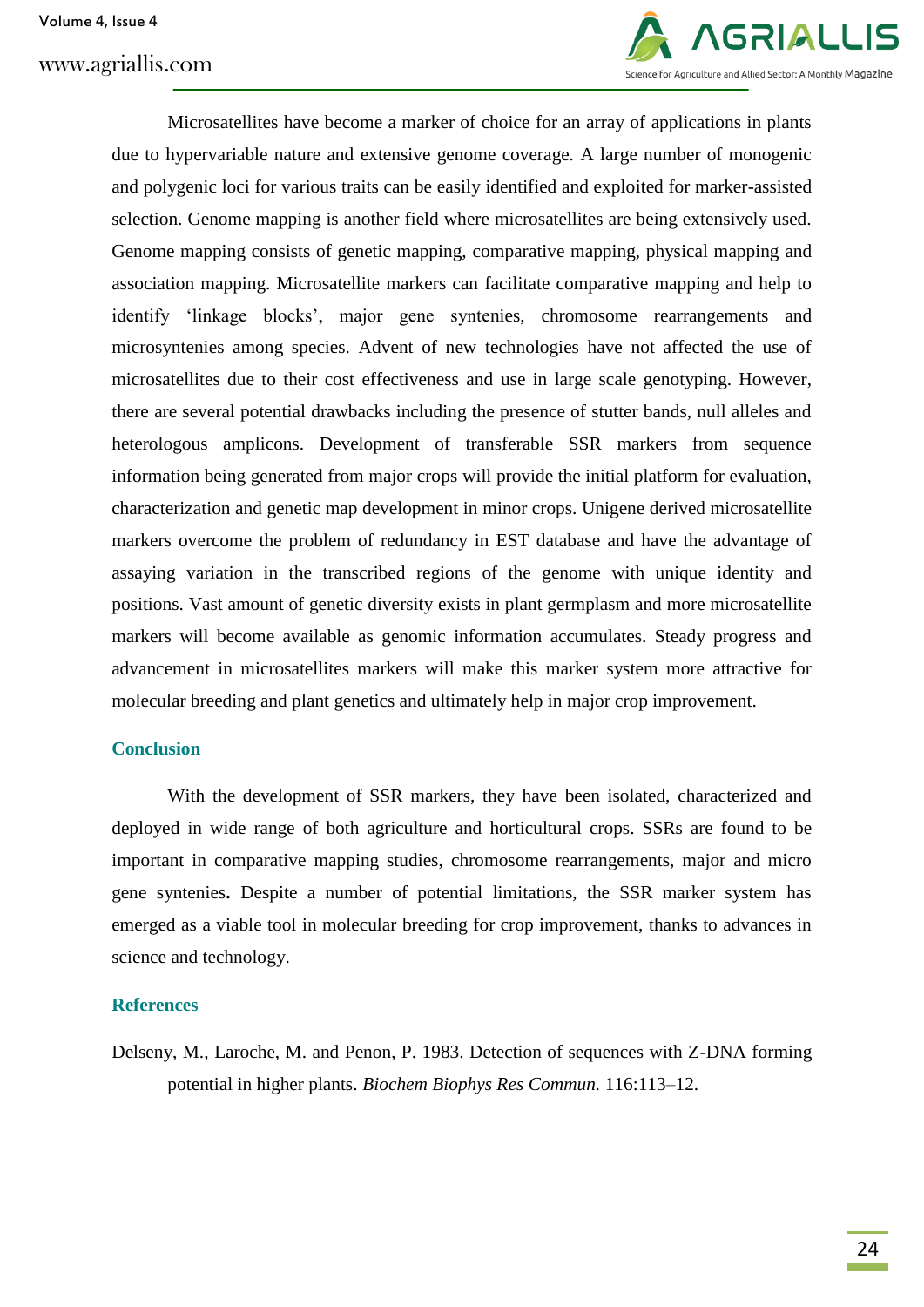# www.agriallis.com



Microsatellites have become a marker of choice for an array of applications in plants due to hypervariable nature and extensive genome coverage. A large number of monogenic and polygenic loci for various traits can be easily identified and exploited for marker-assisted selection. Genome mapping is another field where microsatellites are being extensively used. Genome mapping consists of genetic mapping, comparative mapping, physical mapping and association mapping. Microsatellite markers can facilitate comparative mapping and help to identify 'linkage blocks', major gene syntenies, chromosome rearrangements and microsyntenies among species. Advent of new technologies have not affected the use of microsatellites due to their cost effectiveness and use in large scale genotyping. However, there are several potential drawbacks including the presence of stutter bands, null alleles and heterologous amplicons. Development of transferable SSR markers from sequence information being generated from major crops will provide the initial platform for evaluation, characterization and genetic map development in minor crops. Unigene derived microsatellite markers overcome the problem of redundancy in EST database and have the advantage of assaying variation in the transcribed regions of the genome with unique identity and positions. Vast amount of genetic diversity exists in plant germplasm and more microsatellite markers will become available as genomic information accumulates. Steady progress and advancement in microsatellites markers will make this marker system more attractive for molecular breeding and plant genetics and ultimately help in major crop improvement.

### **Conclusion**

With the development of SSR markers, they have been isolated, characterized and deployed in wide range of both agriculture and horticultural crops. SSRs are found to be important in comparative mapping studies, chromosome rearrangements, major and micro gene syntenies**.** Despite a number of potential limitations, the SSR marker system has emerged as a viable tool in molecular breeding for crop improvement, thanks to advances in science and technology.

### **References**

Delseny, M., Laroche, M. and Penon, P. 1983. Detection of sequences with Z-DNA forming potential in higher plants. *Biochem Biophys Res Commun.* 116:113–12.